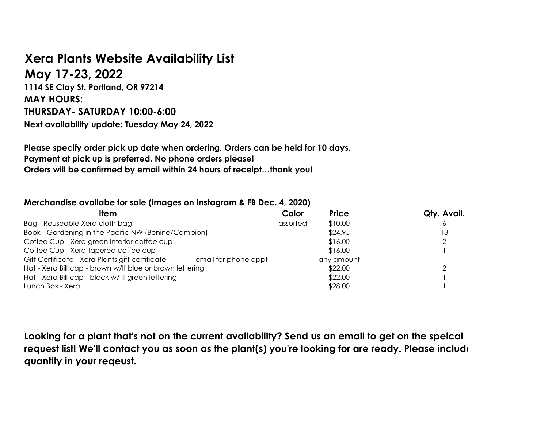## **Xera Plants Website Availability List**

**May 17-23, 2022 1114 SE Clay St. Portland, OR 97214 MAY HOURS: THURSDAY- SATURDAY 10:00-6:00 Next availability update: Tuesday May 24, 2022**

**Please specify order pick up date when ordering. Orders can be held for 10 days. Payment at pick up is preferred. No phone orders please! Orders will be confirmed by email within 24 hours of receipt…thank you!**

## **Merchandise availabe for sale (images on Instagram & FB Dec. 4, 2020)**

| <b>Item</b>                                              | Color                | <b>Price</b> | Qty. Avail. |
|----------------------------------------------------------|----------------------|--------------|-------------|
| Bag - Reuseable Xera cloth bag                           | assorted             | \$10.00      |             |
| Book - Gardening in the Pacific NW (Bonine/Campion)      |                      | \$24.95      | '3          |
| Coffee Cup - Xera green interior coffee cup              |                      | \$16.00      |             |
| Coffee Cup - Xera tapered coffee cup                     |                      | \$16.00      |             |
| Gift Certificate - Xera Plants gift certificate          | email for phone appt | any amount   |             |
| Hat - Xera Bill cap - brown w/lt blue or brown lettering |                      | \$22.00      |             |
| Hat - Xera Bill cap - black w/ It green lettering        |                      | \$22.00      |             |
| Lunch Box - Xera                                         |                      | \$28.00      |             |

**Looking for a plant that's not on the current availability? Send us an email to get on the speical request list! We'll contact you as soon as the plant(s) you're looking for are ready. Please include quantity in your reqeust.**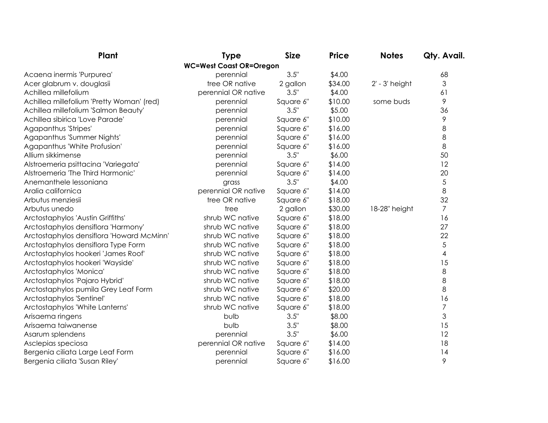| Plant                                     | <b>Type</b>                    | <b>Size</b> | <b>Price</b> | <b>Notes</b>       | Qty. Avail.    |
|-------------------------------------------|--------------------------------|-------------|--------------|--------------------|----------------|
|                                           | <b>WC=West Coast OR=Oregon</b> |             |              |                    |                |
| Acaena inermis 'Purpurea'                 | perennial                      | 3.5"        | \$4.00       |                    | 68             |
| Acer glabrum v. douglasii                 | tree OR native                 | 2 gallon    | \$34.00      | $2'$ - $3'$ height | $\mathfrak{Z}$ |
| Achillea millefolium                      | perennial OR native            | 3.5"        | \$4.00       |                    | 61             |
| Achillea millefolium 'Pretty Woman' (red) | perennial                      | Square 6"   | \$10.00      | some buds          | $\mathcal{P}$  |
| Achillea millefolium 'Salmon Beauty'      | perennial                      | 3.5"        | \$5.00       |                    | 36             |
| Achillea sibirica 'Love Parade'           | perennial                      | Square 6"   | \$10.00      |                    | 9              |
| Agapanthus 'Stripes'                      | perennial                      | Square 6"   | \$16.00      |                    | 8              |
| Agapanthus 'Summer Nights'                | perennial                      | Square 6"   | \$16.00      |                    | 8              |
| Agapanthus 'White Profusion'              | perennial                      | Square 6"   | \$16.00      |                    | 8              |
| Allium sikkimense                         | perennial                      | 3.5"        | \$6.00       |                    | 50             |
| Alstroemeria psittacina 'Variegata'       | perennial                      | Square 6"   | \$14.00      |                    | 12             |
| Alstroemeria 'The Third Harmonic'         | perennial                      | Square 6"   | \$14.00      |                    | 20             |
| Anemanthele lessoniana                    | grass                          | 3.5"        | \$4.00       |                    | 5              |
| Aralia californica                        | perennial OR native            | Square 6"   | \$14.00      |                    | 8              |
| Arbutus menziesii                         | tree OR native                 | Square 6"   | \$18.00      |                    | 32             |
| Arbutus unedo                             | tree                           | 2 gallon    | \$30.00      | 18-28" height      | $\overline{7}$ |
| Arctostaphylos 'Austin Griffiths'         | shrub WC native                | Square 6"   | \$18.00      |                    | 16             |
| Arctostaphylos densiflora 'Harmony'       | shrub WC native                | Square 6"   | \$18.00      |                    | 27             |
| Arctostaphylos densiflora 'Howard McMinn' | shrub WC native                | Square 6"   | \$18.00      |                    | 22             |
| Arctostaphylos densiflora Type Form       | shrub WC native                | Square 6"   | \$18.00      |                    | 5              |
| Arctostaphylos hookeri 'James Roof'       | shrub WC native                | Square 6"   | \$18.00      |                    | 4              |
| Arctostaphylos hookeri 'Wayside'          | shrub WC native                | Square 6"   | \$18.00      |                    | 15             |
| Arctostaphylos 'Monica'                   | shrub WC native                | Square 6"   | \$18.00      |                    | 8              |
| Arctostaphylos 'Pajaro Hybrid'            | shrub WC native                | Square 6"   | \$18.00      |                    | 8              |
| Arctostaphylos pumila Grey Leaf Form      | shrub WC native                | Square 6"   | \$20.00      |                    | 8              |
| Arctostaphylos 'Sentinel'                 | shrub WC native                | Square 6"   | \$18.00      |                    | 16             |
| Arctostaphylos 'White Lanterns'           | shrub WC native                | Square 6"   | \$18.00      |                    | $\overline{7}$ |
| Arisaema ringens                          | bulb                           | 3.5"        | \$8.00       |                    | 3              |
| Arisaema taiwanense                       | bulb                           | 3.5"        | \$8.00       |                    | 15             |
| Asarum splendens                          | perennial                      | 3.5"        | \$6.00       |                    | 12             |
| Asclepias speciosa                        | perennial OR native            | Square 6"   | \$14.00      |                    | 18             |
| Bergenia ciliata Large Leaf Form          | perennial                      | Square 6"   | \$16.00      |                    | 14             |
| Bergenia ciliata 'Susan Riley'            | perennial                      | Square 6"   | \$16.00      |                    | 9              |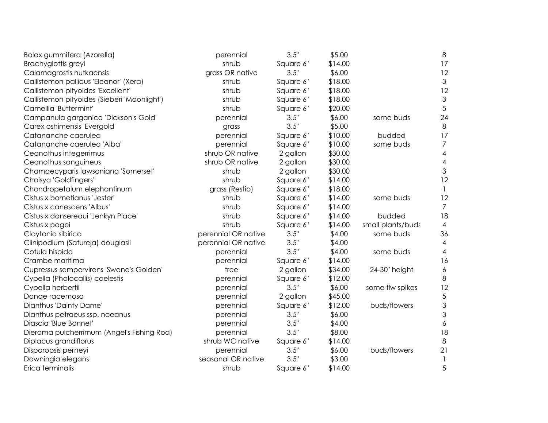| Bolax gummifera (Azorella)                  | perennial           | 3.5"      | \$5.00  |                   | $\,8\,$          |
|---------------------------------------------|---------------------|-----------|---------|-------------------|------------------|
| Brachyglottis greyi                         | shrub               | Square 6" | \$14.00 |                   | 17               |
| Calamagrostis nutkaensis                    | grass OR native     | 3.5"      | \$6.00  |                   | 12               |
| Callistemon pallidus 'Eleanor' (Xera)       | shrub               | Square 6" | \$18.00 |                   | $\mathfrak{Z}$   |
| Callistemon pityoides 'Excellent'           | shrub               | Square 6" | \$18.00 |                   | 12               |
| Callistemon pityoides (Sieberi 'Moonlight') | shrub               | Square 6" | \$18.00 |                   | $\mathfrak{Z}$   |
| Camellia 'Buttermint'                       | shrub               | Square 6" | \$20.00 |                   | 5                |
| Campanula garganica 'Dickson's Gold'        | perennial           | 3.5"      | \$6.00  | some buds         | 24               |
| Carex oshimensis 'Evergold'                 | grass               | 3.5"      | \$5.00  |                   | 8                |
| Catananche caerulea                         | perennial           | Square 6" | \$10.00 | budded            | 17               |
| Catananche caerulea 'Alba'                  | perennial           | Square 6" | \$10.00 | some buds         | $\overline{7}$   |
| Ceanothus integerrimus                      | shrub OR native     | 2 gallon  | \$30.00 |                   | $\overline{4}$   |
| Ceanothus sanguineus                        | shrub OR native     | 2 gallon  | \$30.00 |                   | $\overline{4}$   |
| Chamaecyparis lawsoniana 'Somerset'         | shrub               | 2 gallon  | \$30.00 |                   | $\mathfrak 3$    |
| Choisya 'Goldfingers'                       | shrub               | Square 6" | \$14.00 |                   | 12               |
| Chondropetalum elephantinum                 | grass (Restio)      | Square 6" | \$18.00 |                   |                  |
| Cistus x bornetianus 'Jester'               | shrub               | Square 6" | \$14.00 | some buds         | 12               |
| Cistus x canescens 'Albus'                  | shrub               | Square 6" | \$14.00 |                   | $\overline{7}$   |
| Cistus x dansereaui 'Jenkyn Place'          | shrub               | Square 6" | \$14.00 | budded            | 18               |
| Cistus x pagei                              | shrub               | Square 6" | \$14.00 | small plants/buds | $\overline{4}$   |
| Claytonia sibirica                          | perennial OR native | 3.5"      | \$4.00  | some buds         | 36               |
| Clinipodium (Satureja) douglasii            | perennial OR native | 3.5"      | \$4.00  |                   | 4                |
| Cotula hispida                              | perennial           | 3.5"      | \$4.00  | some buds         | 4                |
| Crambe maritima                             | perennial           | Square 6" | \$14.00 |                   | 16               |
| Cupressus sempervirens 'Swane's Golden'     | tree                | 2 gallon  | \$34.00 | 24-30" height     | $\boldsymbol{6}$ |
| Cypella (Phalocallis) coelestis             | perennial           | Square 6" | \$12.00 |                   | 8                |
| Cypella herbertii                           | perennial           | 3.5"      | \$6.00  | some flw spikes   | 12               |
| Danae racemosa                              | perennial           | 2 gallon  | \$45.00 |                   | 5                |
| Dianthus 'Dainty Dame'                      | perennial           | Square 6" | \$12.00 | buds/flowers      | $\mathfrak 3$    |
| Dianthus petraeus ssp. noeanus              | perennial           | 3.5"      | \$6.00  |                   | $\mathfrak 3$    |
| Diascia 'Blue Bonnet'                       | perennial           | 3.5"      | \$4.00  |                   | 6                |
| Dierama pulcherrimum (Angel's Fishing Rod)  | perennial           | 3.5"      | \$8.00  |                   | 18               |
| Diplacus grandiflorus                       | shrub WC native     | Square 6" | \$14.00 |                   | 8                |
| Disporopsis perneyi                         | perennial           | 3.5"      | \$6.00  | buds/flowers      | 21               |
| Downingia elegans                           | seasonal OR native  | 3.5"      | \$3.00  |                   |                  |
| Erica terminalis                            | shrub               | Square 6" | \$14.00 |                   | 5                |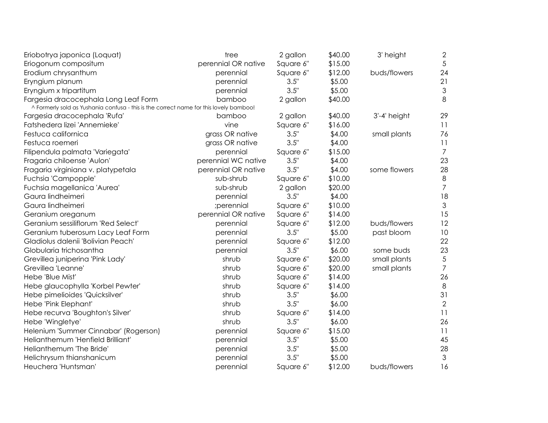| Eriobotrya japonica (Loquat)                                                                                                   | tree                | 2 gallon  | \$40.00 | 3' height    | $\mathbf{2}$              |
|--------------------------------------------------------------------------------------------------------------------------------|---------------------|-----------|---------|--------------|---------------------------|
| Eriogonum compositum                                                                                                           | perennial OR native | Square 6" | \$15.00 |              | 5                         |
| Erodium chrysanthum                                                                                                            | perennial           | Square 6" | \$12.00 | buds/flowers | 24                        |
| Eryngium planum                                                                                                                | perennial           | 3.5"      | \$5.00  |              | 21                        |
| Eryngium x tripartitum                                                                                                         | perennial           | 3.5"      | \$5.00  |              | $\ensuremath{\mathsf{3}}$ |
| Fargesia dracocephala Long Leaf Form<br>^ Formerly sold as Yushania confusa - this is the correct name for this lovely bamboo! | bamboo              | 2 gallon  | \$40.00 |              | 8                         |
| Fargesia dracocephala 'Rufa'                                                                                                   | bamboo              | 2 gallon  | \$40.00 | 3'-4' height | 29                        |
| Fatshedera lizei 'Annemieke'                                                                                                   | vine                | Square 6" | \$16.00 |              | 11                        |
| Festuca californica                                                                                                            | grass OR native     | 3.5"      | \$4.00  | small plants | 76                        |
| Festuca roemeri                                                                                                                | grass OR native     | 3.5"      | \$4.00  |              | 11                        |
| Filipendula palmata 'Variegata'                                                                                                | perennial           | Square 6" | \$15.00 |              | $\overline{7}$            |
| Fragaria chiloense 'Aulon'                                                                                                     | perennial WC native | 3.5"      | \$4.00  |              | 23                        |
| Fragaria virginiana v. platypetala                                                                                             | perennial OR native | 3.5"      | \$4.00  | some flowers | 28                        |
| Fuchsia 'Campopple'                                                                                                            | sub-shrub           | Square 6" | \$10.00 |              | $\,8\,$                   |
| Fuchsia magellanica 'Aurea'                                                                                                    | sub-shrub           | 2 gallon  | \$20.00 |              | $\overline{7}$            |
| Gaura lindheimeri                                                                                                              | perennial           | 3.5"      | \$4.00  |              | 18                        |
| Gaura lindheimeri                                                                                                              | ;perennial          | Square 6" | \$10.00 |              | $\mathfrak{Z}$            |
| Geranium oreganum                                                                                                              | perennial OR native | Square 6" | \$14.00 |              | 15                        |
| Geranium sessiliflorum 'Red Select'                                                                                            | perennial           | Square 6" | \$12.00 | buds/flowers | 12                        |
| Geranium tuberosum Lacy Leaf Form                                                                                              | perennial           | 3.5"      | \$5.00  | past bloom   | 10                        |
| Gladiolus dalenii 'Bolivian Peach'                                                                                             | perennial           | Square 6" | \$12.00 |              | 22                        |
| Globularia trichosantha                                                                                                        | perennial           | 3.5"      | \$6.00  | some buds    | 23                        |
| Grevillea juniperina 'Pink Lady'                                                                                               | shrub               | Square 6" | \$20.00 | small plants | $\sqrt{5}$                |
| Grevillea 'Leanne'                                                                                                             | shrub               | Square 6" | \$20.00 | small plants | $\overline{7}$            |
| Hebe 'Blue Mist'                                                                                                               | shrub               | Square 6" | \$14.00 |              | 26                        |
| Hebe glaucophylla 'Korbel Pewter'                                                                                              | shrub               | Square 6" | \$14.00 |              | 8                         |
| Hebe pimelioides 'Quicksilver'                                                                                                 | shrub               | 3.5"      | \$6.00  |              | 31                        |
| Hebe 'Pink Elephant'                                                                                                           | shrub               | 3.5"      | \$6.00  |              | $\overline{2}$            |
| Hebe recurva 'Boughton's Silver'                                                                                               | shrub               | Square 6" | \$14.00 |              | 11                        |
| Hebe 'Wingletye'                                                                                                               | shrub               | 3.5"      | \$6.00  |              | 26                        |
| Helenium 'Summer Cinnabar' (Rogerson)                                                                                          | perennial           | Square 6" | \$15.00 |              | 11                        |
| Helianthemum 'Henfield Brilliant'                                                                                              | perennial           | 3.5"      | \$5.00  |              | 45                        |
| Helianthemum 'The Bride'                                                                                                       | perennial           | 3.5"      | \$5.00  |              | 28                        |
| Helichrysum thianshanicum                                                                                                      | perennial           | 3.5"      | \$5.00  |              | $\mathfrak{Z}$            |
| Heuchera 'Huntsman'                                                                                                            | perennial           | Square 6" | \$12.00 | buds/flowers | 16                        |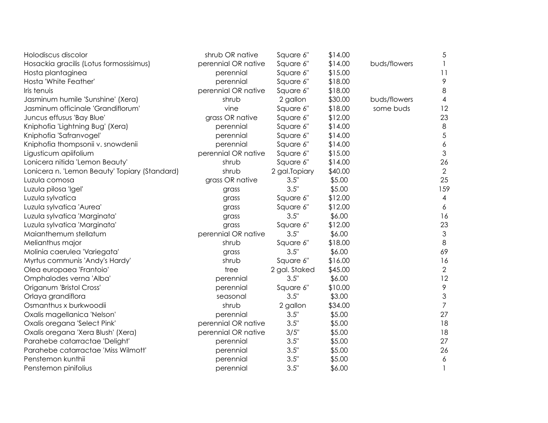| Holodiscus discolor                           | shrub OR native     | Square 6"      | \$14.00 |              | 5                        |
|-----------------------------------------------|---------------------|----------------|---------|--------------|--------------------------|
| Hosackia gracilis (Lotus formossisimus)       | perennial OR native | Square 6"      | \$14.00 | buds/flowers | $\mathbf{1}$             |
| Hosta plantaginea                             | perennial           | Square 6"      | \$15.00 |              | 11                       |
| Hosta 'White Feather'                         | perennial           | Square 6"      | \$18.00 |              | $\mathcal{P}$            |
| Iris tenuis                                   | perennial OR native | Square 6"      | \$18.00 |              | 8                        |
| Jasminum humile 'Sunshine' (Xera)             | shrub               | 2 gallon       | \$30.00 | buds/flowers | $\overline{\mathcal{A}}$ |
| Jasminum officinale 'Grandiflorum'            | vine                | Square 6"      | \$18.00 | some buds    | 12                       |
| Juncus effusus 'Bay Blue'                     | grass OR native     | Square 6"      | \$12.00 |              | 23                       |
| Kniphofia 'Lightning Bug' (Xera)              | perennial           | Square 6"      | \$14.00 |              | $\,8\,$                  |
| Kniphofia 'Safranvogel'                       | perennial           | Square 6"      | \$14.00 |              | $\sqrt{5}$               |
| Kniphofia thompsonii v. snowdenii             | perennial           | Square 6"      | \$14.00 |              | $\boldsymbol{6}$         |
| Ligusticum apiifolium                         | perennial OR native | Square 6"      | \$15.00 |              | 3                        |
| Lonicera nitida 'Lemon Beauty'                | shrub               | Square 6"      | \$14.00 |              | 26                       |
| Lonicera n. 'Lemon Beauty' Topiary (Standard) | shrub               | 2 gal. Topiary | \$40.00 |              | $\overline{2}$           |
| Luzula comosa                                 | grass OR native     | 3.5"           | \$5.00  |              | 25                       |
| Luzula pilosa 'Igel'                          | grass               | 3.5"           | \$5.00  |              | 159                      |
| Luzula sylvatica                              | grass               | Square 6"      | \$12.00 |              | 4                        |
| Luzula sylvatica 'Aurea'                      | grass               | Square 6"      | \$12.00 |              | 6                        |
| Luzula sylvatica 'Marginata'                  | grass               | 3.5"           | \$6.00  |              | 16                       |
| Luzula sylvatica 'Marginata'                  | grass               | Square 6"      | \$12.00 |              | 23                       |
| Maianthemum stellatum                         | perennial OR native | 3.5"           | \$6.00  |              | $\mathfrak 3$            |
| Melianthus major                              | shrub               | Square 6"      | \$18.00 |              | $\,8\,$                  |
| Molinia caerulea 'Variegata'                  | grass               | 3.5"           | \$6.00  |              | 69                       |
| Myrtus communis 'Andy's Hardy'                | shrub               | Square 6"      | \$16.00 |              | 16                       |
| Olea europaea 'Frantoio'                      | tree                | 2 gal. Staked  | \$45.00 |              | $\overline{2}$           |
| Omphalodes verna 'Alba'                       | perennial           | 3.5"           | \$6.00  |              | 12                       |
| Origanum 'Bristol Cross'                      | perennial           | Square 6"      | \$10.00 |              | $\mathcal{P}$            |
| Orlaya grandiflora                            | seasonal            | 3.5"           | \$3.00  |              | 3                        |
| Osmanthus x burkwoodii                        | shrub               | 2 gallon       | \$34.00 |              | $\overline{7}$           |
| Oxalis magellanica 'Nelson'                   | perennial           | 3.5"           | \$5.00  |              | 27                       |
| Oxalis oregana 'Select Pink'                  | perennial OR native | 3.5"           | \$5.00  |              | 18                       |
| Oxalis oregana 'Xera Blush' (Xera)            | perennial OR native | 3/5"           | \$5.00  |              | 18                       |
| Parahebe catarractae 'Delight'                | perennial           | 3.5"           | \$5.00  |              | 27                       |
| Parahebe catarractae 'Miss Wilmott'           | perennial           | 3.5"           | \$5.00  |              | 26                       |
| Penstemon kunthii                             | perennial           | 3.5"           | \$5.00  |              | $\boldsymbol{6}$         |
| Penstemon pinifolius                          | perennial           | 3.5"           | \$6.00  |              | $\mathbf{1}$             |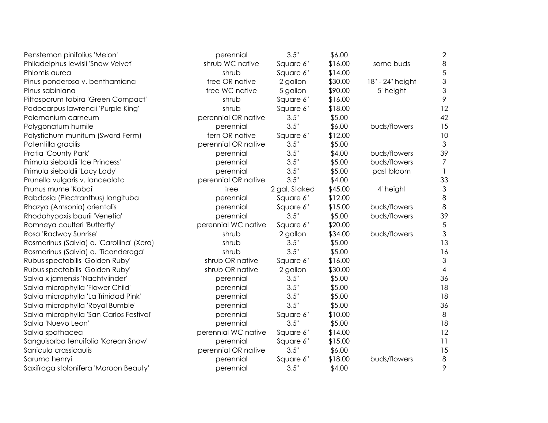| Penstemon pinifolius 'Melon'              | perennial           | 3.5"          | \$6.00  |                  | 2                         |
|-------------------------------------------|---------------------|---------------|---------|------------------|---------------------------|
| Philadelphus lewisii 'Snow Velvet'        | shrub WC native     | Square 6"     | \$16.00 | some buds        | 8                         |
| Phlomis aurea                             | shrub               | Square 6"     | \$14.00 |                  | $\sqrt{5}$                |
| Pinus ponderosa v. benthamiana            | tree OR native      | 2 gallon      | \$30.00 | 18" - 24" height | $\mathsf 3$               |
| Pinus sabiniana                           | tree WC native      | 5 gallon      | \$90.00 | 5' height        | $\ensuremath{\mathsf{3}}$ |
| Pittosporum tobira 'Green Compact'        | shrub               | Square 6"     | \$16.00 |                  | 9                         |
| Podocarpus lawrencii 'Purple King'        | shrub               | Square 6"     | \$18.00 |                  | 12                        |
| Polemonium carneum                        | perennial OR native | 3.5"          | \$5.00  |                  | 42                        |
| Polygonatum humile                        | perennial           | 3.5"          | \$6.00  | buds/flowers     | 15                        |
| Polystichum munitum (Sword Ferm)          | fern OR native      | Square 6"     | \$12.00 |                  | 10                        |
| Potentilla gracilis                       | perennial OR native | 3.5"          | \$5.00  |                  | $\mathfrak{Z}$            |
| Pratia 'County Park'                      | perennial           | 3.5"          | \$4.00  | buds/flowers     | 39                        |
| Primula sieboldii 'Ice Princess'          | perennial           | 3.5"          | \$5.00  | buds/flowers     | 7                         |
| Primula sieboldii 'Lacy Lady'             | perennial           | 3.5"          | \$5.00  | past bloom       |                           |
| Prunella vulgaris v. lanceolata           | perennial OR native | 3.5"          | \$4.00  |                  | 33                        |
| Prunus mume 'Kobai'                       | tree                | 2 gal. Staked | \$45.00 | 4' height        | $\mathfrak{Z}$            |
| Rabdosia (Plectranthus) longituba         | perennial           | Square 6"     | \$12.00 |                  | 8                         |
| Rhazya (Amsonia) orientalis               | perennial           | Square 6"     | \$15.00 | buds/flowers     | 8                         |
| Rhodohypoxis baurii 'Venetia'             | perennial           | 3.5"          | \$5.00  | buds/flowers     | 39                        |
| Romneya coulteri 'Butterfly'              | perennial WC native | Square 6"     | \$20.00 |                  | $\sqrt{5}$                |
| Rosa 'Radway Sunrise'                     | shrub               | 2 gallon      | \$34.00 | buds/flowers     | 3                         |
| Rosmarinus (Salvia) o. 'Carollina' (Xera) | shrub               | 3.5"          | \$5.00  |                  | 13                        |
| Rosmarinus (Salvia) o. 'Ticonderoga'      | shrub               | 3.5"          | \$5.00  |                  | 16                        |
| Rubus spectabilis 'Golden Ruby'           | shrub OR native     | Square 6"     | \$16.00 |                  | $\ensuremath{\mathsf{3}}$ |
| Rubus spectabilis 'Golden Ruby'           | shrub OR native     | 2 gallon      | \$30.00 |                  | $\overline{4}$            |
| Salvia x jamensis 'Nachtvlinder'          | perennial           | 3.5"          | \$5.00  |                  | 36                        |
| Salvia microphylla 'Flower Child'         | perennial           | 3.5"          | \$5.00  |                  | 18                        |
| Salvia microphylla 'La Trinidad Pink'     | perennial           | 3.5"          | \$5.00  |                  | 18                        |
| Salvia microphylla 'Royal Bumble'         | perennial           | 3.5"          | \$5.00  |                  | 36                        |
| Salvia microphylla 'San Carlos Festival'  | perennial           | Square 6"     | \$10.00 |                  | $8\,$                     |
| Salvia 'Nuevo Leon'                       | perennial           | 3.5"          | \$5.00  |                  | 18                        |
| Salvia spathacea                          | perennial WC native | Square 6"     | \$14.00 |                  | 12                        |
| Sanguisorba tenuifolia 'Korean Snow'      | perennial           | Square 6"     | \$15.00 |                  | 11                        |
| Sanicula crassicaulis                     | perennial OR native | 3.5"          | \$6.00  |                  | 15                        |
| Saruma henryi                             | perennial           | Square 6"     | \$18.00 | buds/flowers     | 8                         |
| Saxifraga stolonifera 'Maroon Beauty'     | perennial           | 3.5"          | \$4.00  |                  | 9                         |